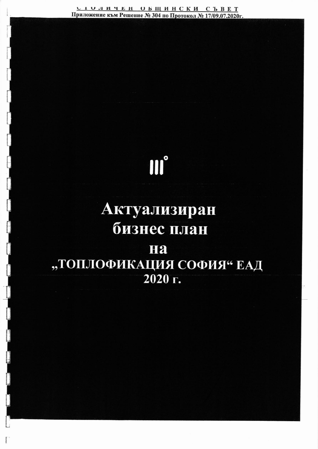<u>столичен общински съвет</u> Приложение към Решение № 304 по Протокол № 17/09.07.2020г.

## III°

## Актуализиран бизнес план Ha "ТОПЛОФИКАЦИЯ СОФИЯ" ЕАД 2020 г.